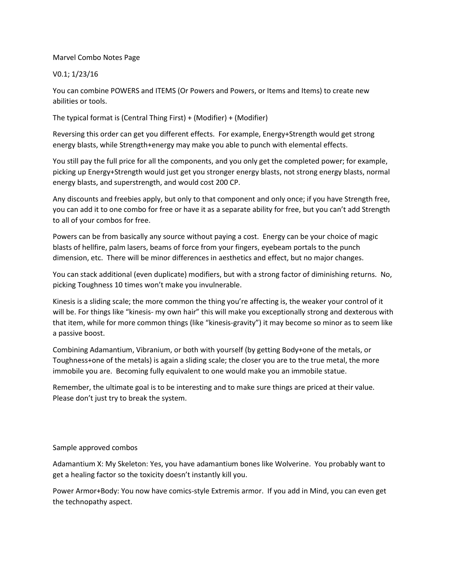## Marvel Combo Notes Page

## V0.1; 1/23/16

You can combine POWERS and ITEMS (Or Powers and Powers, or Items and Items) to create new abilities or tools.

The typical format is (Central Thing First) + (Modifier) + (Modifier)

Reversing this order can get you different effects. For example, Energy+Strength would get strong energy blasts, while Strength+energy may make you able to punch with elemental effects.

You still pay the full price for all the components, and you only get the completed power; for example, picking up Energy+Strength would just get you stronger energy blasts, not strong energy blasts, normal energy blasts, and superstrength, and would cost 200 CP.

Any discounts and freebies apply, but only to that component and only once; if you have Strength free, you can add it to one combo for free or have it as a separate ability for free, but you can't add Strength to all of your combos for free.

Powers can be from basically any source without paying a cost. Energy can be your choice of magic blasts of hellfire, palm lasers, beams of force from your fingers, eyebeam portals to the punch dimension, etc. There will be minor differences in aesthetics and effect, but no major changes.

You can stack additional (even duplicate) modifiers, but with a strong factor of diminishing returns. No, picking Toughness 10 times won't make you invulnerable.

Kinesis is a sliding scale; the more common the thing you're affecting is, the weaker your control of it will be. For things like "kinesis- my own hair" this will make you exceptionally strong and dexterous with that item, while for more common things (like "kinesis-gravity") it may become so minor as to seem like a passive boost.

Combining Adamantium, Vibranium, or both with yourself (by getting Body+one of the metals, or Toughness+one of the metals) is again a sliding scale; the closer you are to the true metal, the more immobile you are. Becoming fully equivalent to one would make you an immobile statue.

Remember, the ultimate goal is to be interesting and to make sure things are priced at their value. Please don't just try to break the system.

## Sample approved combos

Adamantium X: My Skeleton: Yes, you have adamantium bones like Wolverine. You probably want to get a healing factor so the toxicity doesn't instantly kill you.

Power Armor+Body: You now have comics-style Extremis armor. If you add in Mind, you can even get the technopathy aspect.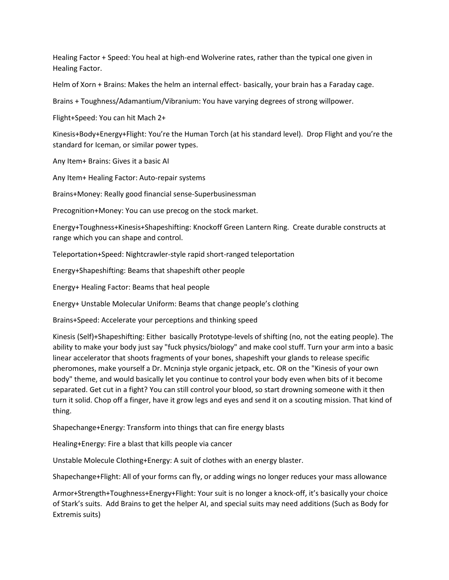Healing Factor + Speed: You heal at high-end Wolverine rates, rather than the typical one given in Healing Factor.

Helm of Xorn + Brains: Makes the helm an internal effect- basically, your brain has a Faraday cage.

Brains + Toughness/Adamantium/Vibranium: You have varying degrees of strong willpower.

Flight+Speed: You can hit Mach 2+

Kinesis+Body+Energy+Flight: You're the Human Torch (at his standard level). Drop Flight and you're the standard for Iceman, or similar power types.

Any Item+ Brains: Gives it a basic AI

Any Item+ Healing Factor: Auto-repair systems

Brains+Money: Really good financial sense-Superbusinessman

Precognition+Money: You can use precog on the stock market.

Energy+Toughness+Kinesis+Shapeshifting: Knockoff Green Lantern Ring. Create durable constructs at range which you can shape and control.

Teleportation+Speed: Nightcrawler-style rapid short-ranged teleportation

Energy+Shapeshifting: Beams that shapeshift other people

Energy+ Healing Factor: Beams that heal people

Energy+ Unstable Molecular Uniform: Beams that change people's clothing

Brains+Speed: Accelerate your perceptions and thinking speed

Kinesis (Self)+Shapeshifting: Either basically Prototype-levels of shifting (no, not the eating people). The ability to make your body just say "fuck physics/biology" and make cool stuff. Turn your arm into a basic linear accelerator that shoots fragments of your bones, shapeshift your glands to release specific pheromones, make yourself a Dr. Mcninja style organic jetpack, etc. OR on the "Kinesis of your own body" theme, and would basically let you continue to control your body even when bits of it become separated. Get cut in a fight? You can still control your blood, so start drowning someone with it then turn it solid. Chop off a finger, have it grow legs and eyes and send it on a scouting mission. That kind of thing.

Shapechange+Energy: Transform into things that can fire energy blasts

Healing+Energy: Fire a blast that kills people via cancer

Unstable Molecule Clothing+Energy: A suit of clothes with an energy blaster.

Shapechange+Flight: All of your forms can fly, or adding wings no longer reduces your mass allowance

Armor+Strength+Toughness+Energy+Flight: Your suit is no longer a knock-off, it's basically your choice of Stark's suits. Add Brains to get the helper AI, and special suits may need additions (Such as Body for Extremis suits)